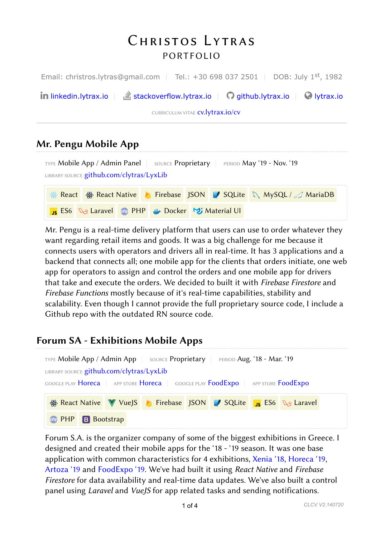# *Christos Lytras PORTFOLIO*

Email: christros.lytras@gmail.com | Tel.: +30 698 037 2501 | DOB: July 1<sup>st</sup>, 1982

**in** [linkedin.lytrax.io](https://linkedin.lytrax.io/)  $\|\cdot\|$  [stackoverflow.lytrax.io](https://stackoverflow.lytrax.io/)  $\|\cdot\|$  [github.lytrax.io](https://github.lytrax.io/)  $\|\cdot\|$  [lytrax.io](https://lytrax.io/)

CURRICULUM VITAE **[cv.lytrax.io/cv](https://cv.lytrax.io/cv)** 

## Mr. Pengu Mobile App



Mr. Pengu is a real-time delivery platform that users can use to order whatever they want regarding retail items and goods. It was a big challenge for me because it connects users with operators and drivers all in real-time. It has 3 applications and a backend that connects all; one mobile app for the clients that orders initiate, one web app for operators to assign and control the orders and one mobile app for drivers that take and execute the orders. We decided to built it with Firebase Firestore and Firebase Functions mostly because of it's real-time capabilities, stability and scalability. Even though I cannot provide the full proprietary source code, I include a Github repo with the outdated RN source code.

# Forum SA - Exhibitions Mobile Apps



Forum S.A. is the organizer company of some of the biggest exhibitions in Greece. I designed and created their mobile apps for the '18 - '19 season. It was one base application with common characteristics for 4 exhibitions, [Xenia '18,](https://www.xenia.gr/en/) [Horeca '19,](https://horecaexpo.gr/en/) [Artoza '19](https://www.artoza.com/en/) and [FoodExpo '19.](https://foodexpo.gr/en/) We've had built it using React Native and Firebase Firestore for data availability and real-time data updates. We've also built a control panel using Laravel and VueJS for app related tasks and sending notifications.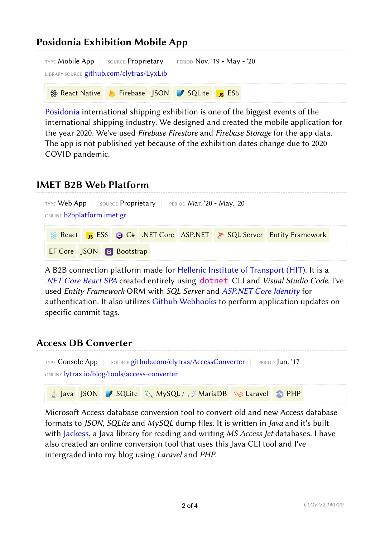| <b>Posidonia Exhibition Mobile App</b>                                                                                   |  |  |  |  |  |  |  |  |  |
|--------------------------------------------------------------------------------------------------------------------------|--|--|--|--|--|--|--|--|--|
| <b>TYPE Mobile App</b> SOURCE Proprietary <b>PERIOD Nov. '19 - May - '20</b><br>LIBRARY SOURCE github.com/clytras/LyxLib |  |  |  |  |  |  |  |  |  |
| ※ React Native A Firebase JSON / SQLite <sub>JS</sub> ES6                                                                |  |  |  |  |  |  |  |  |  |

[Posidonia](https://posidonia-events.com/) international shipping exhibition is one of the biggest events of the international shipping industry. We designed and created the mobile application for the year 2020. We've used Firebase Firestore and Firebase Storage for the app data. The app is not published yet because of the exhibition dates change due to 2020 COVID pandemic.

### IMET B2B Web Platform

| TYPE Web App   SOURCE Proprietary   PERIOD Mar. '20 - May. '20<br>ONLINE <b>b2bplatform.imet.gr</b> |  |  |  |  |  |                                                                          |  |  |  |
|-----------------------------------------------------------------------------------------------------|--|--|--|--|--|--------------------------------------------------------------------------|--|--|--|
|                                                                                                     |  |  |  |  |  | <b>EXECUTE:</b> ES6 @ C# .NET Core ASP.NET > SQL Server Entity Framework |  |  |  |
| <b>EF Core</b> JSON <b>B</b> Bootstrap                                                              |  |  |  |  |  |                                                                          |  |  |  |

A B2B connection platform made for [Hellenic Institute of Transport \(HIT\)](http://www.imet.gr/). It is a [.NET Core React SPA](https://docs.microsoft.com/en-us/aspnet/core/client-side/spa/react) created entirely using dotnet CLI and Visual Studio Code. I've used Entity Framework ORM with SQL Server and [ASP.NET Core Identity](https://docs.microsoft.com/en-us/aspnet/core/security/authentication/identity) for authentication. It also utilizes [Github Webhooks](https://developer.github.com/webhooks/) to perform application updates on specific commit tags.

#### Access DB Converter



Microsoft Access database conversion tool to convert old and new Access database formats to JSON, SQLite and MySQL dump files. It is written in Java and it's built with [Jackess](http://jackcess.sourceforge.net/), a Java library for reading and writing MS Access Jet databases. I have also created an online conversion tool that uses this Java CLI tool and I've intergraded into my blog using Laravel and PHP.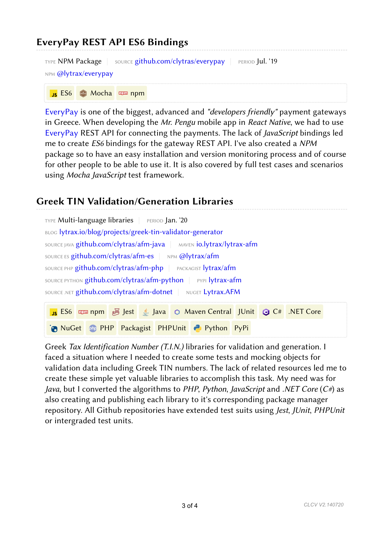## EveryPay REST API ES6 Bindings



**ES6** Mocha **nom** npm

[EveryPay](https://www.everypay.gr/) is one of the biggest, advanced and "developers friendly" payment gateways in Greece. When developing the Mr. Pengu mobile app in React Native, we had to use [EveryPay](https://www.everypay.gr/) REST API for connecting the payments. The lack of JavaScript bindings led me to create ES6 bindings for the gateway REST API. I've also created a NPM package so to have an easy installation and version monitoring process and of course for other people to be able to use it. It is also covered by full test cases and scenarios using Mocha JavaScript test framework.

#### Greek TIN Validation/Generation Libraries

| TYPE Multi-language libraries   PERIOD Jan. '20                                         |  |  |  |  |  |  |  |  |
|-----------------------------------------------------------------------------------------|--|--|--|--|--|--|--|--|
| BLOG lytrax.io/blog/projects/greek-tin-validator-generator                              |  |  |  |  |  |  |  |  |
| SOURCE JAVA github.com/clytras/afm-java   MAVEN io.lytrax/lytrax-afm                    |  |  |  |  |  |  |  |  |
| SOURCE ES github.com/clytras/afm-es   NPM @lytrax/afm                                   |  |  |  |  |  |  |  |  |
| SOURCE PHP github.com/clytras/afm-php   PACKAGIST lytrax/afm                            |  |  |  |  |  |  |  |  |
| SOURCE PYTHON github.com/clytras/afm-python   PYPI lytrax-afm                           |  |  |  |  |  |  |  |  |
| SOURCE .NET github.com/clytras/afm-dotnet NUGET Lytrax.AFM                              |  |  |  |  |  |  |  |  |
| <b>JS</b> ES6 <b>Example 50</b> Jest 6 Java Q Maven Central JUnit <b>@</b> C# .NET Core |  |  |  |  |  |  |  |  |
| <b>Pen NuGet</b> one PHP Packagist PHPUnit P Python PyPi                                |  |  |  |  |  |  |  |  |

Greek Tax Identification Number (T.I.N.) libraries for validation and generation. I faced a situation where I needed to create some tests and mocking objects for validation data including Greek TIN numbers. The lack of related resources led me to create these simple yet valuable libraries to accomplish this task. My need was for *Java*, but I converted the algorithms to *PHP*, *Python*, *JavaScript* and *.NET Core*  $(C^*)$  as also creating and publishing each library to it's corresponding package manager repository. All Github repositories have extended test suits using Jest, JUnit, PHPUnit or intergraded test units.